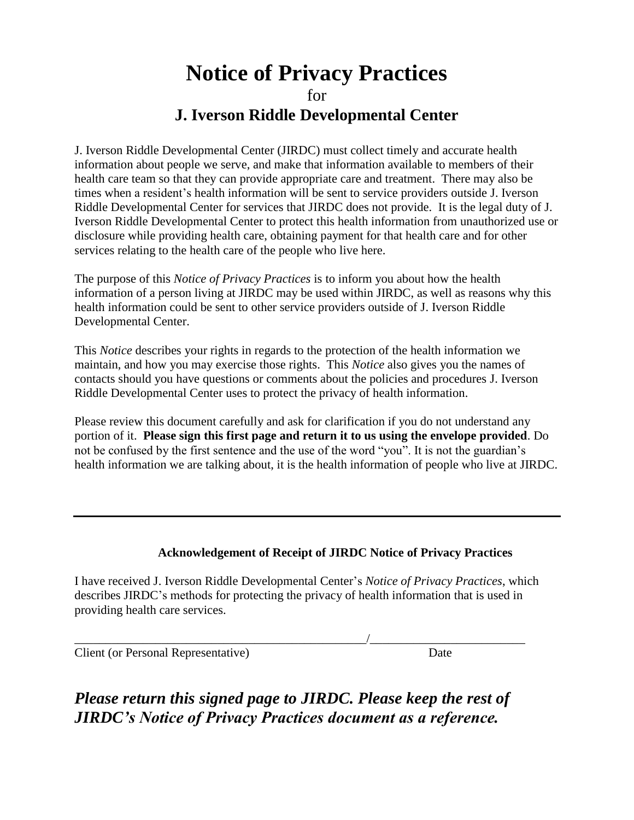# **Notice of Privacy Practices** for **J. Iverson Riddle Developmental Center**

J. Iverson Riddle Developmental Center (JIRDC) must collect timely and accurate health information about people we serve, and make that information available to members of their health care team so that they can provide appropriate care and treatment. There may also be times when a resident's health information will be sent to service providers outside J. Iverson Riddle Developmental Center for services that JIRDC does not provide. It is the legal duty of J. Iverson Riddle Developmental Center to protect this health information from unauthorized use or disclosure while providing health care, obtaining payment for that health care and for other services relating to the health care of the people who live here.

The purpose of this *Notice of Privacy Practices* is to inform you about how the health information of a person living at JIRDC may be used within JIRDC, as well as reasons why this health information could be sent to other service providers outside of J. Iverson Riddle Developmental Center.

This *Notice* describes your rights in regards to the protection of the health information we maintain, and how you may exercise those rights. This *Notice* also gives you the names of contacts should you have questions or comments about the policies and procedures J. Iverson Riddle Developmental Center uses to protect the privacy of health information.

Please review this document carefully and ask for clarification if you do not understand any portion of it. **Please sign this first page and return it to us using the envelope provided**. Do not be confused by the first sentence and the use of the word "you". It is not the guardian's health information we are talking about, it is the health information of people who live at JIRDC.

## **Acknowledgement of Receipt of JIRDC Notice of Privacy Practices**

I have received J. Iverson Riddle Developmental Center's *Notice of Privacy Practices*, which describes JIRDC's methods for protecting the privacy of health information that is used in providing health care services.

\_\_\_\_\_\_\_\_\_\_\_\_\_\_\_\_\_\_\_\_\_\_\_\_\_\_\_\_\_\_\_\_\_\_\_\_\_\_\_\_\_\_\_\_\_\_\_/\_\_\_\_\_\_\_\_\_\_\_\_\_\_\_\_\_\_\_\_\_\_\_\_\_

Client (or Personal Representative) Date

*Please return this signed page to JIRDC. Please keep the rest of JIRDC's Notice of Privacy Practices document as a reference.*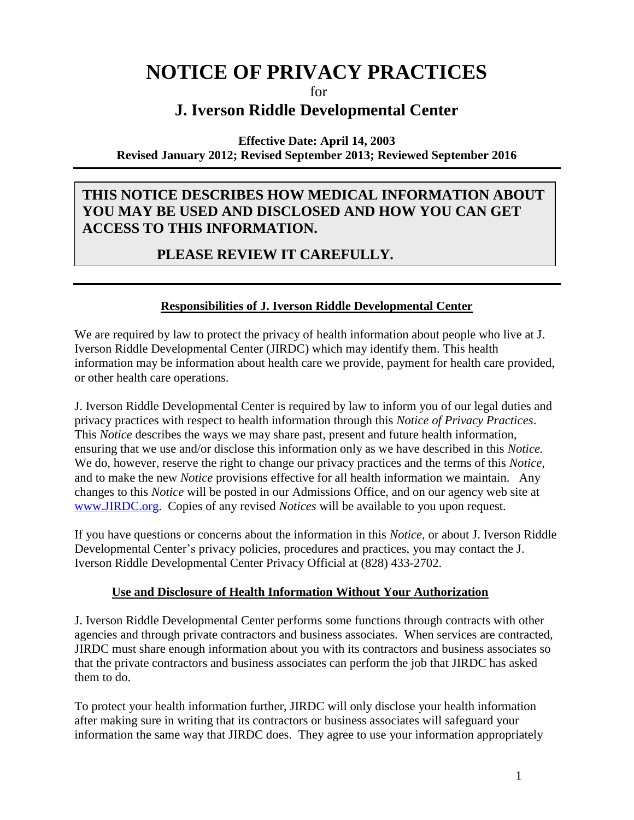# **NOTICE OF PRIVACY PRACTICES**

for

# **J. Iverson Riddle Developmental Center**

#### **Effective Date: April 14, 2003 Revised January 2012; Revised September 2013; Reviewed September 2016**

## **THIS NOTICE DESCRIBES HOW MEDICAL INFORMATION ABOUT YOU MAY BE USED AND DISCLOSED AND HOW YOU CAN GET ACCESS TO THIS INFORMATION.**

## **PLEASE REVIEW IT CAREFULLY.**

## **Responsibilities of J. Iverson Riddle Developmental Center**

We are required by law to protect the privacy of health information about people who live at J. Iverson Riddle Developmental Center (JIRDC) which may identify them. This health information may be information about health care we provide, payment for health care provided, or other health care operations.

J. Iverson Riddle Developmental Center is required by law to inform you of our legal duties and privacy practices with respect to health information through this *Notice of Privacy Practices*. This *Notice* describes the ways we may share past, present and future health information, ensuring that we use and/or disclose this information only as we have described in this *Notice.* We do, however, reserve the right to change our privacy practices and the terms of this *Notice*, and to make the new *Notice* provisions effective for all health information we maintain. Any changes to this *Notice* will be posted in our Admissions Office, and on our agency web site at [www.JIRDC.org.](http://www.jirdc.org/) Copies of any revised *Notices* will be available to you upon request.

If you have questions or concerns about the information in this *Notice*, or about J. Iverson Riddle Developmental Center's privacy policies, procedures and practices, you may contact the J. Iverson Riddle Developmental Center Privacy Official at (828) 433-2702.

## **Use and Disclosure of Health Information Without Your Authorization**

J. Iverson Riddle Developmental Center performs some functions through contracts with other agencies and through private contractors and business associates. When services are contracted, JIRDC must share enough information about you with its contractors and business associates so that the private contractors and business associates can perform the job that JIRDC has asked them to do.

To protect your health information further, JIRDC will only disclose your health information after making sure in writing that its contractors or business associates will safeguard your information the same way that JIRDC does. They agree to use your information appropriately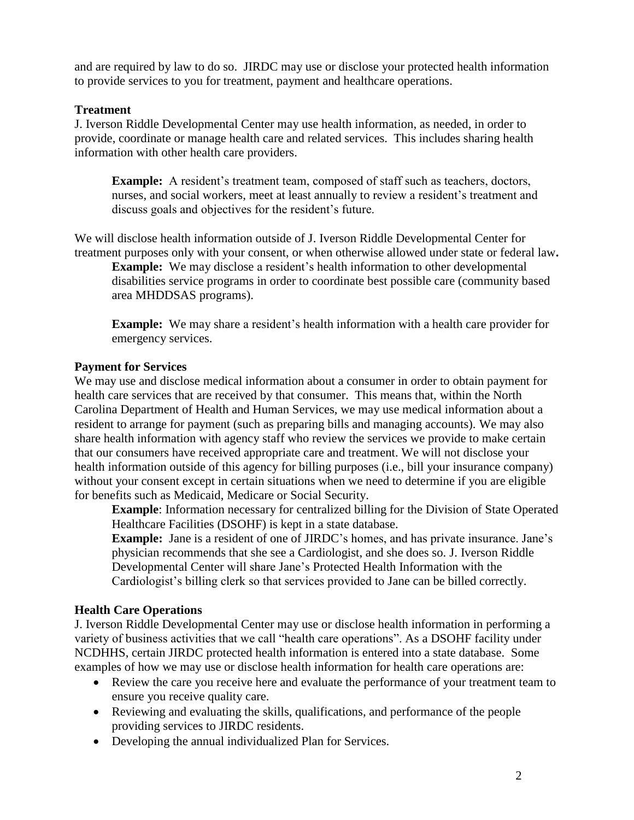and are required by law to do so. JIRDC may use or disclose your protected health information to provide services to you for treatment, payment and healthcare operations.

#### **Treatment**

J. Iverson Riddle Developmental Center may use health information, as needed, in order to provide, coordinate or manage health care and related services. This includes sharing health information with other health care providers.

**Example:** A resident's treatment team, composed of staff such as teachers, doctors, nurses, and social workers, meet at least annually to review a resident's treatment and discuss goals and objectives for the resident's future.

We will disclose health information outside of J. Iverson Riddle Developmental Center for treatment purposes only with your consent, or when otherwise allowed under state or federal law**.**

**Example:** We may disclose a resident's health information to other developmental disabilities service programs in order to coordinate best possible care (community based area MHDDSAS programs).

**Example:** We may share a resident's health information with a health care provider for emergency services.

#### **Payment for Services**

We may use and disclose medical information about a consumer in order to obtain payment for health care services that are received by that consumer. This means that, within the North Carolina Department of Health and Human Services, we may use medical information about a resident to arrange for payment (such as preparing bills and managing accounts). We may also share health information with agency staff who review the services we provide to make certain that our consumers have received appropriate care and treatment. We will not disclose your health information outside of this agency for billing purposes (i.e., bill your insurance company) without your consent except in certain situations when we need to determine if you are eligible for benefits such as Medicaid, Medicare or Social Security.

**Example**: Information necessary for centralized billing for the Division of State Operated Healthcare Facilities (DSOHF) is kept in a state database.

**Example:** Jane is a resident of one of JIRDC's homes, and has private insurance. Jane's physician recommends that she see a Cardiologist, and she does so. J. Iverson Riddle Developmental Center will share Jane's Protected Health Information with the Cardiologist's billing clerk so that services provided to Jane can be billed correctly.

## **Health Care Operations**

J. Iverson Riddle Developmental Center may use or disclose health information in performing a variety of business activities that we call "health care operations". As a DSOHF facility under NCDHHS, certain JIRDC protected health information is entered into a state database. Some examples of how we may use or disclose health information for health care operations are:

- Review the care you receive here and evaluate the performance of your treatment team to ensure you receive quality care.
- Reviewing and evaluating the skills, qualifications, and performance of the people providing services to JIRDC residents.
- Developing the annual individualized Plan for Services.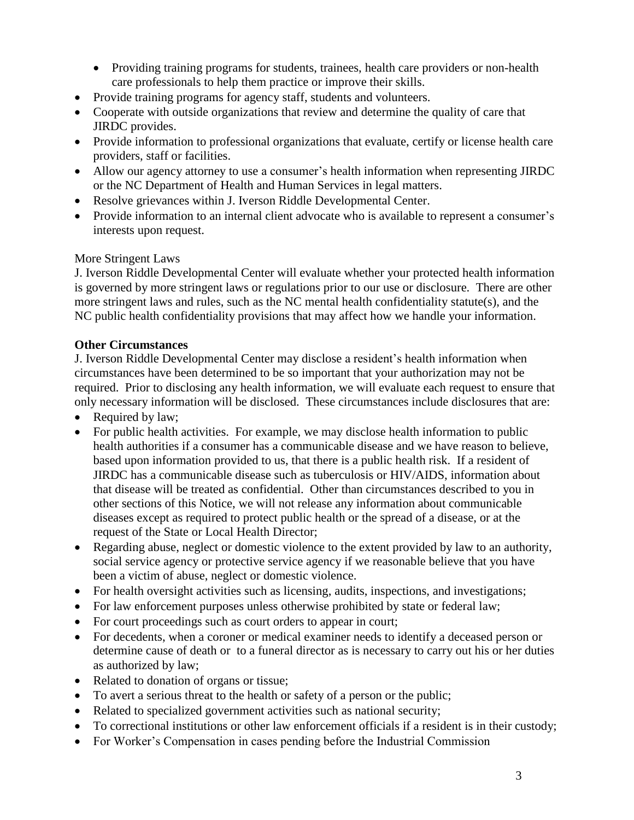- Providing training programs for students, trainees, health care providers or non-health care professionals to help them practice or improve their skills.
- Provide training programs for agency staff, students and volunteers.
- Cooperate with outside organizations that review and determine the quality of care that JIRDC provides.
- Provide information to professional organizations that evaluate, certify or license health care providers, staff or facilities.
- Allow our agency attorney to use a consumer's health information when representing JIRDC or the NC Department of Health and Human Services in legal matters.
- Resolve grievances within J. Iverson Riddle Developmental Center.
- Provide information to an internal client advocate who is available to represent a consumer's interests upon request.

## More Stringent Laws

J. Iverson Riddle Developmental Center will evaluate whether your protected health information is governed by more stringent laws or regulations prior to our use or disclosure. There are other more stringent laws and rules, such as the NC mental health confidentiality statute(s), and the NC public health confidentiality provisions that may affect how we handle your information.

## **Other Circumstances**

J. Iverson Riddle Developmental Center may disclose a resident's health information when circumstances have been determined to be so important that your authorization may not be required. Prior to disclosing any health information, we will evaluate each request to ensure that only necessary information will be disclosed. These circumstances include disclosures that are:

- Required by law;
- For public health activities. For example, we may disclose health information to public health authorities if a consumer has a communicable disease and we have reason to believe, based upon information provided to us, that there is a public health risk. If a resident of JIRDC has a communicable disease such as tuberculosis or HIV/AIDS, information about that disease will be treated as confidential. Other than circumstances described to you in other sections of this Notice, we will not release any information about communicable diseases except as required to protect public health or the spread of a disease, or at the request of the State or Local Health Director;
- Regarding abuse, neglect or domestic violence to the extent provided by law to an authority, social service agency or protective service agency if we reasonable believe that you have been a victim of abuse, neglect or domestic violence.
- For health oversight activities such as licensing, audits, inspections, and investigations;
- For law enforcement purposes unless otherwise prohibited by state or federal law;
- For court proceedings such as court orders to appear in court;
- For decedents, when a coroner or medical examiner needs to identify a deceased person or determine cause of death or to a funeral director as is necessary to carry out his or her duties as authorized by law;
- Related to donation of organs or tissue;
- To avert a serious threat to the health or safety of a person or the public;
- Related to specialized government activities such as national security;
- To correctional institutions or other law enforcement officials if a resident is in their custody;
- For Worker's Compensation in cases pending before the Industrial Commission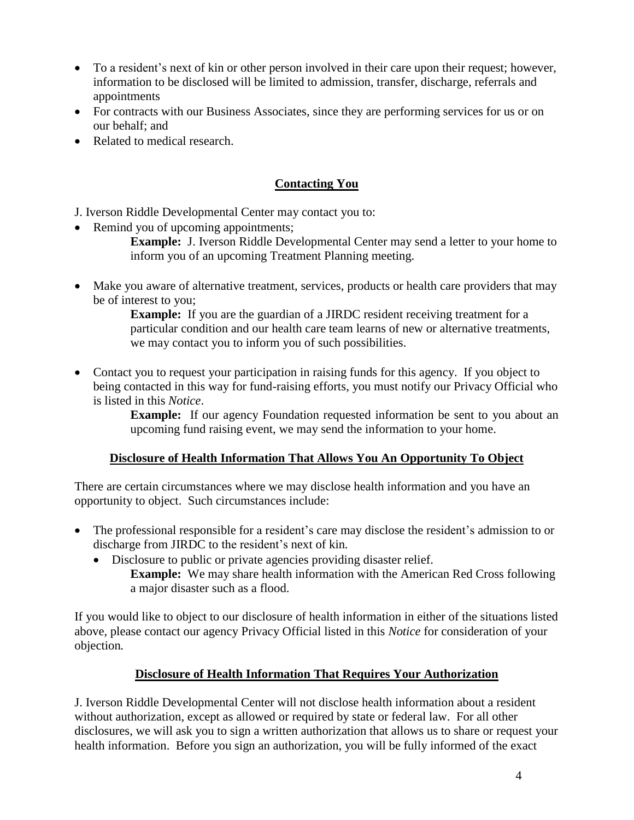- To a resident's next of kin or other person involved in their care upon their request; however, information to be disclosed will be limited to admission, transfer, discharge, referrals and appointments
- For contracts with our Business Associates, since they are performing services for us or on our behalf; and
- Related to medical research.

## **Contacting You**

J. Iverson Riddle Developmental Center may contact you to:

• Remind you of upcoming appointments;

**Example:** J. Iverson Riddle Developmental Center may send a letter to your home to inform you of an upcoming Treatment Planning meeting.

 Make you aware of alternative treatment, services, products or health care providers that may be of interest to you;

**Example:** If you are the guardian of a JIRDC resident receiving treatment for a particular condition and our health care team learns of new or alternative treatments, we may contact you to inform you of such possibilities.

• Contact you to request your participation in raising funds for this agency. If you object to being contacted in this way for fund-raising efforts, you must notify our Privacy Official who is listed in this *Notice*.

> **Example:** If our agency Foundation requested information be sent to you about an upcoming fund raising event, we may send the information to your home.

## **Disclosure of Health Information That Allows You An Opportunity To Object**

There are certain circumstances where we may disclose health information and you have an opportunity to object. Such circumstances include:

- The professional responsible for a resident's care may disclose the resident's admission to or discharge from JIRDC to the resident's next of kin*.*
	- Disclosure to public or private agencies providing disaster relief.
		- **Example:** We may share health information with the American Red Cross following a major disaster such as a flood.

If you would like to object to our disclosure of health information in either of the situations listed above, please contact our agency Privacy Official listed in this *Notice* for consideration of your objection*.*

## **Disclosure of Health Information That Requires Your Authorization**

J. Iverson Riddle Developmental Center will not disclose health information about a resident without authorization, except as allowed or required by state or federal law. For all other disclosures, we will ask you to sign a written authorization that allows us to share or request your health information. Before you sign an authorization, you will be fully informed of the exact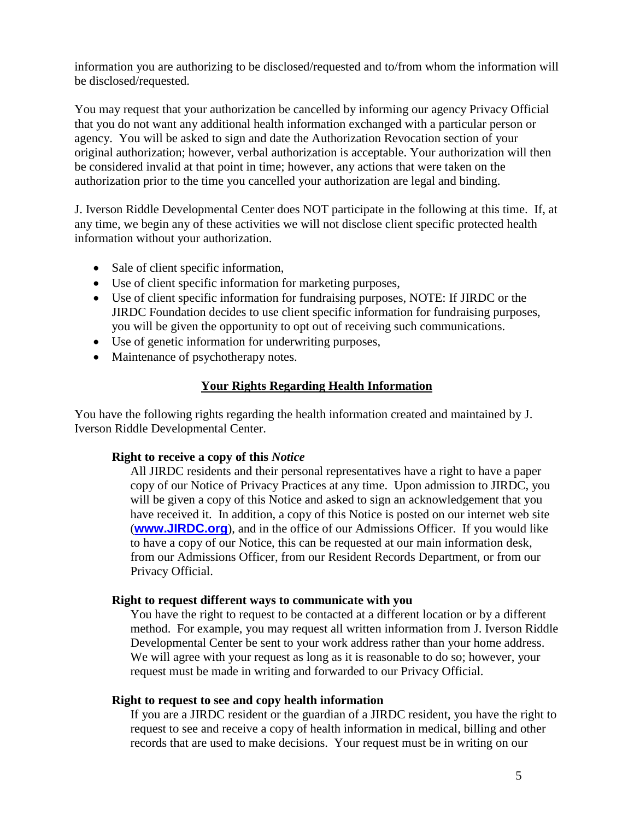information you are authorizing to be disclosed/requested and to/from whom the information will be disclosed/requested.

You may request that your authorization be cancelled by informing our agency Privacy Official that you do not want any additional health information exchanged with a particular person or agency. You will be asked to sign and date the Authorization Revocation section of your original authorization; however, verbal authorization is acceptable. Your authorization will then be considered invalid at that point in time; however, any actions that were taken on the authorization prior to the time you cancelled your authorization are legal and binding.

J. Iverson Riddle Developmental Center does NOT participate in the following at this time. If, at any time, we begin any of these activities we will not disclose client specific protected health information without your authorization.

- Sale of client specific information,
- Use of client specific information for marketing purposes,
- Use of client specific information for fundraising purposes, NOTE: If JIRDC or the JIRDC Foundation decides to use client specific information for fundraising purposes, you will be given the opportunity to opt out of receiving such communications.
- Use of genetic information for underwriting purposes,
- Maintenance of psychotherapy notes.

#### **Your Rights Regarding Health Information**

You have the following rights regarding the health information created and maintained by J. Iverson Riddle Developmental Center.

#### **Right to receive a copy of this** *Notice*

All JIRDC residents and their personal representatives have a right to have a paper copy of our Notice of Privacy Practices at any time. Upon admission to JIRDC, you will be given a copy of this Notice and asked to sign an acknowledgement that you have received it. In addition, a copy of this Notice is posted on our internet web site (**[www.JIRDC.org](http://www.jirdc.org/)**), and in the office of our Admissions Officer. If you would like to have a copy of our Notice, this can be requested at our main information desk, from our Admissions Officer, from our Resident Records Department, or from our Privacy Official.

#### **Right to request different ways to communicate with you**

You have the right to request to be contacted at a different location or by a different method. For example, you may request all written information from J. Iverson Riddle Developmental Center be sent to your work address rather than your home address. We will agree with your request as long as it is reasonable to do so; however, your request must be made in writing and forwarded to our Privacy Official.

#### **Right to request to see and copy health information**

If you are a JIRDC resident or the guardian of a JIRDC resident, you have the right to request to see and receive a copy of health information in medical, billing and other records that are used to make decisions. Your request must be in writing on our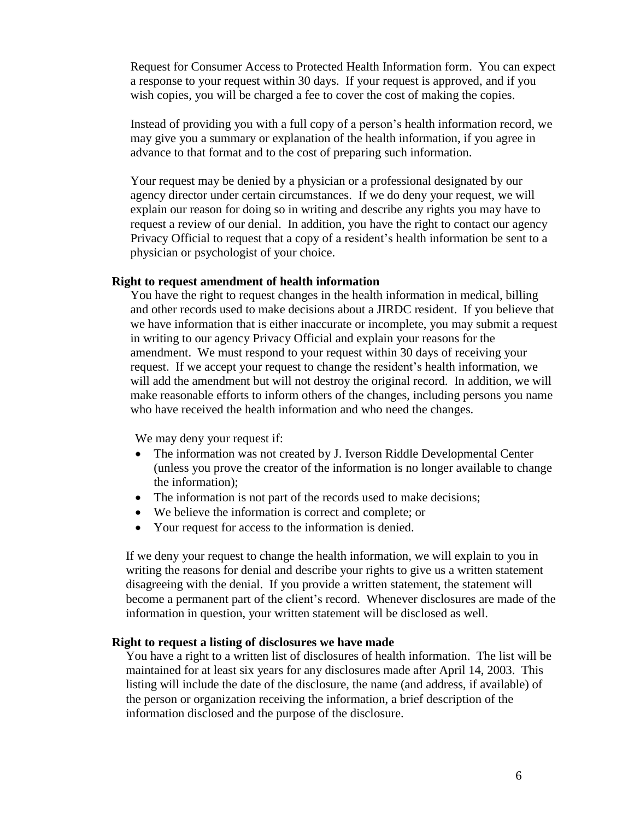Request for Consumer Access to Protected Health Information form. You can expect a response to your request within 30 days. If your request is approved, and if you wish copies, you will be charged a fee to cover the cost of making the copies.

Instead of providing you with a full copy of a person's health information record, we may give you a summary or explanation of the health information, if you agree in advance to that format and to the cost of preparing such information.

Your request may be denied by a physician or a professional designated by our agency director under certain circumstances. If we do deny your request, we will explain our reason for doing so in writing and describe any rights you may have to request a review of our denial. In addition, you have the right to contact our agency Privacy Official to request that a copy of a resident's health information be sent to a physician or psychologist of your choice.

#### **Right to request amendment of health information**

You have the right to request changes in the health information in medical, billing and other records used to make decisions about a JIRDC resident. If you believe that we have information that is either inaccurate or incomplete, you may submit a request in writing to our agency Privacy Official and explain your reasons for the amendment. We must respond to your request within 30 days of receiving your request. If we accept your request to change the resident's health information, we will add the amendment but will not destroy the original record. In addition, we will make reasonable efforts to inform others of the changes, including persons you name who have received the health information and who need the changes.

We may deny your request if:

- The information was not created by J. Iverson Riddle Developmental Center (unless you prove the creator of the information is no longer available to change the information);
- The information is not part of the records used to make decisions;
- We believe the information is correct and complete; or
- Your request for access to the information is denied.

If we deny your request to change the health information, we will explain to you in writing the reasons for denial and describe your rights to give us a written statement disagreeing with the denial. If you provide a written statement, the statement will become a permanent part of the client's record. Whenever disclosures are made of the information in question, your written statement will be disclosed as well.

#### **Right to request a listing of disclosures we have made**

You have a right to a written list of disclosures of health information. The list will be maintained for at least six years for any disclosures made after April 14, 2003. This listing will include the date of the disclosure, the name (and address, if available) of the person or organization receiving the information, a brief description of the information disclosed and the purpose of the disclosure.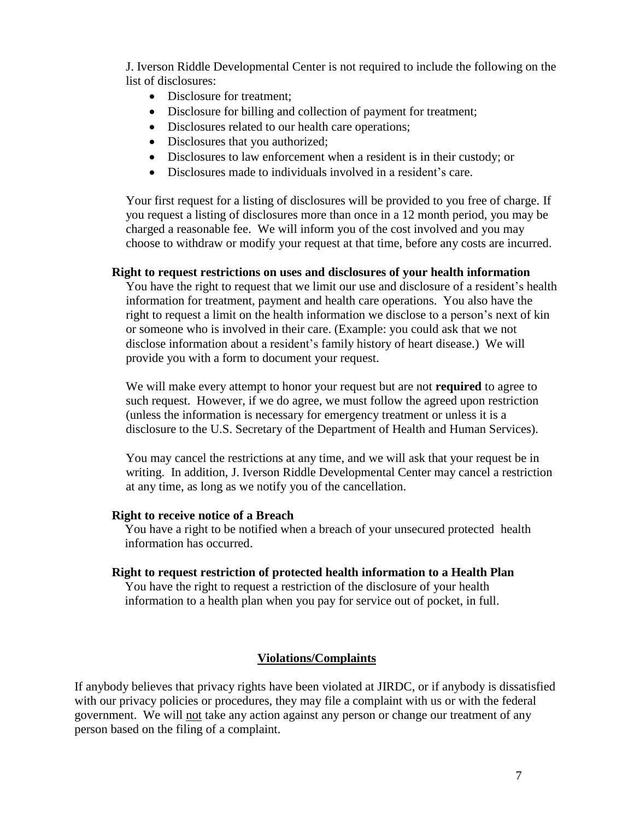J. Iverson Riddle Developmental Center is not required to include the following on the list of disclosures:

- Disclosure for treatment:
- Disclosure for billing and collection of payment for treatment;
- Disclosures related to our health care operations;
- Disclosures that you authorized;
- Disclosures to law enforcement when a resident is in their custody; or
- Disclosures made to individuals involved in a resident's care.

Your first request for a listing of disclosures will be provided to you free of charge. If you request a listing of disclosures more than once in a 12 month period, you may be charged a reasonable fee. We will inform you of the cost involved and you may choose to withdraw or modify your request at that time, before any costs are incurred.

#### **Right to request restrictions on uses and disclosures of your health information**

You have the right to request that we limit our use and disclosure of a resident's health information for treatment, payment and health care operations. You also have the right to request a limit on the health information we disclose to a person's next of kin or someone who is involved in their care. (Example: you could ask that we not disclose information about a resident's family history of heart disease.) We will provide you with a form to document your request.

We will make every attempt to honor your request but are not **required** to agree to such request. However, if we do agree, we must follow the agreed upon restriction (unless the information is necessary for emergency treatment or unless it is a disclosure to the U.S. Secretary of the Department of Health and Human Services).

You may cancel the restrictions at any time, and we will ask that your request be in writing. In addition, J. Iverson Riddle Developmental Center may cancel a restriction at any time, as long as we notify you of the cancellation.

#### **Right to receive notice of a Breach**

You have a right to be notified when a breach of your unsecured protected health information has occurred.

#### **Right to request restriction of protected health information to a Health Plan**

You have the right to request a restriction of the disclosure of your health information to a health plan when you pay for service out of pocket, in full.

## **Violations/Complaints**

If anybody believes that privacy rights have been violated at JIRDC, or if anybody is dissatisfied with our privacy policies or procedures, they may file a complaint with us or with the federal government. We will not take any action against any person or change our treatment of any person based on the filing of a complaint.